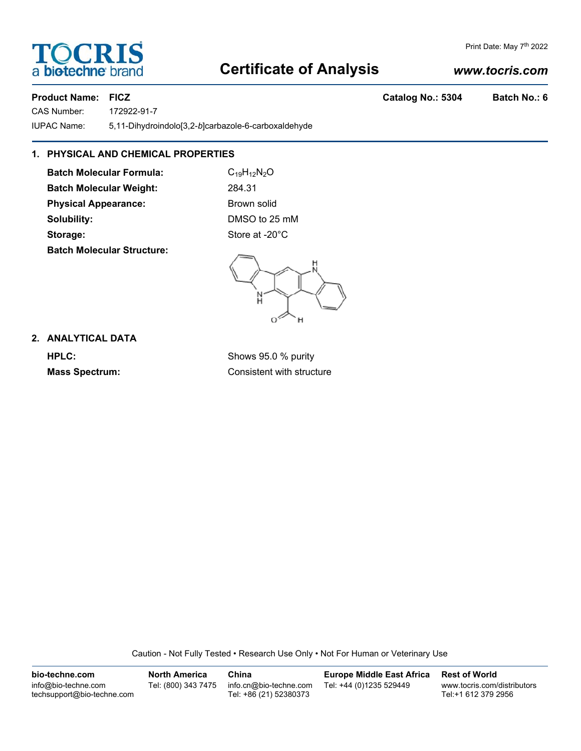# **Certificate of Analysis**

## *www.tocris.com*

CAS Number: 172922-91-7 IUPAC Name: 5,11-Dihydroindolo[3,2-*b*]carbazole-6-carboxaldehyde

### **1. PHYSICAL AND CHEMICAL PROPERTIES**

**Batch Molecular Formula:** C<sub>19</sub>H<sub>12</sub>N<sub>2</sub>O **Batch Molecular Weight:** 284.31 **Physical Appearance:** Brown solid **Solubility:** DMSO to 25 mM Storage: Storage: Store at -20°C **Batch Molecular Structure:**

#### **2. ANALYTICAL DATA**

**HPLC:** Shows 95.0 % purity **Mass Spectrum:** Consistent with structure

Caution - Not Fully Tested • Research Use Only • Not For Human or Veterinary Use

**bio-techne.com** info@bio-techne.com techsupport@bio-techne.com **North America** Tel: (800) 343 7475 **China** info.cn@bio-techne.com Tel: +86 (21) 52380373 **Europe Middle East Africa** Tel: +44 (0)1235 529449 **Rest of World** www.tocris.com/distributors Tel:+1 612 379 2956



Print Date: May 7<sup>th</sup> 2022

**Product Name: FICZ Catalog No.: 5304 Batch No.: 6**